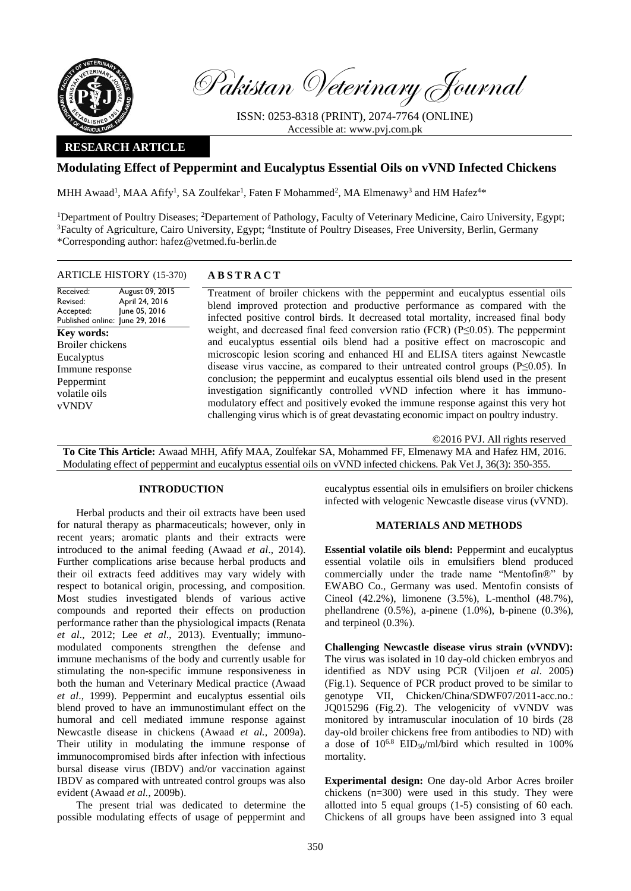

Pakistan Veterinary Journal

ISSN: 0253-8318 (PRINT), 2074-7764 (ONLINE) Accessible at: [www.pvj.com.pk](http://www.pvj.com.pk/)

## **RESEARCH ARTICLE**

# **Modulating Effect of Peppermint and Eucalyptus Essential Oils on vVND Infected Chickens**

MHH Awaad<sup>1</sup>, MAA Afify<sup>1</sup>, SA Zoulfekar<sup>1</sup>, Faten F Mohammed<sup>2</sup>, MA Elmenawy<sup>3</sup> and HM Hafez<sup>4\*</sup>

<sup>1</sup>Department of Poultry Diseases; <sup>2</sup>Departement of Pathology, Faculty of Veterinary Medicine, Cairo University, Egypt; <sup>3</sup>Faculty of Agriculture, Cairo University, Egypt; <sup>4</sup>Institute of Poultry Diseases, Free University, Berlin, Germany \*Corresponding author: hafez@vetmed.fu-berlin.de

## ARTICLE HISTORY (15-370) **A B S T R A C T**

Received: Revised: Accepted: Published online: June 29, 2016 August 09, 2015 April 24, 2016 June 05, 2016 **Key words:**  Broiler chickens Eucalyptus Immune response Peppermint volatile oils vVNDV

Treatment of broiler chickens with the peppermint and eucalyptus essential oils blend improved protection and productive performance as compared with the infected positive control birds. It decreased total mortality, increased final body weight, and decreased final feed conversion ratio (FCR) ( $P \le 0.05$ ). The peppermint and eucalyptus essential oils blend had a positive effect on macroscopic and microscopic lesion scoring and enhanced HI and ELISA titers against Newcastle disease virus vaccine, as compared to their untreated control groups (P≤0.05). In conclusion; the peppermint and eucalyptus essential oils blend used in the present investigation significantly controlled vVND infection where it has immunomodulatory effect and positively evoked the immune response against this very hot challenging virus which is of great devastating economic impact on poultry industry.

©2016 PVJ. All rights reserved **To Cite This Article:** Awaad MHH, Afify MAA, Zoulfekar SA, Mohammed FF, Elmenawy MA and Hafez HM, 2016. Modulating effect of peppermint and eucalyptus essential oils on vVND infected chickens. Pak Vet J, 36(3): 350-355.

## **INTRODUCTION**

Herbal products and their oil extracts have been used for natural therapy as pharmaceuticals; however, only in recent years; aromatic plants and their extracts were introduced to the animal feeding (Awaad *et al*., 2014). Further complications arise because herbal products and their oil extracts feed additives may vary widely with respect to botanical origin, processing, and composition. Most studies investigated blends of various active compounds and reported their effects on production performance rather than the physiological impacts (Renata *et al*., 2012; Lee *et al*., 2013). Eventually; immunomodulated components strengthen the defense and immune mechanisms of the body and currently usable for stimulating the non-specific immune responsiveness in both the human and Veterinary Medical practice (Awaad *et al*., 1999). Peppermint and eucalyptus essential oils blend proved to have an immunostimulant effect on the humoral and cell mediated immune response against Newcastle disease in chickens (Awaad *et al.,* 2009a). Their utility in modulating the immune response of immunocompromised birds after infection with infectious bursal disease virus (IBDV) and/or vaccination against IBDV as compared with untreated control groups was also evident (Awaad *et al.*, 2009b).

The present trial was dedicated to determine the possible modulating effects of usage of peppermint and eucalyptus essential oils in emulsifiers on broiler chickens infected with velogenic Newcastle disease virus (vVND).

## **MATERIALS AND METHODS**

**Essential volatile oils blend:** Peppermint and eucalyptus essential volatile oils in emulsifiers blend produced commercially under the trade name "Mentofin®" by EWABO Co., Germany was used. Mentofin consists of Cineol (42.2%), limonene (3.5%), L-menthol (48.7%), phellandrene (0.5%), a-pinene (1.0%), b-pinene (0.3%), and terpineol (0.3%).

**Challenging Newcastle disease virus strain (vVNDV):** The virus was isolated in 10 day-old chicken embryos and identified as NDV using PCR (Viljoen *et al*. 2005) (Fig.1). Sequence of PCR product proved to be similar to genotype VII, Chicken/China/SDWF07/2011-acc.no.: JQ015296 (Fig.2). The velogenicity of vVNDV was monitored by intramuscular inoculation of 10 birds (28 day-old broiler chickens free from antibodies to ND) with a dose of  $10^{6.8}$  EID<sub>50</sub>/ml/bird which resulted in 100% mortality.

**Experimental design:** One day-old Arbor Acres broiler chickens (n=300) were used in this study. They were allotted into 5 equal groups (1-5) consisting of 60 each. Chickens of all groups have been assigned into 3 equal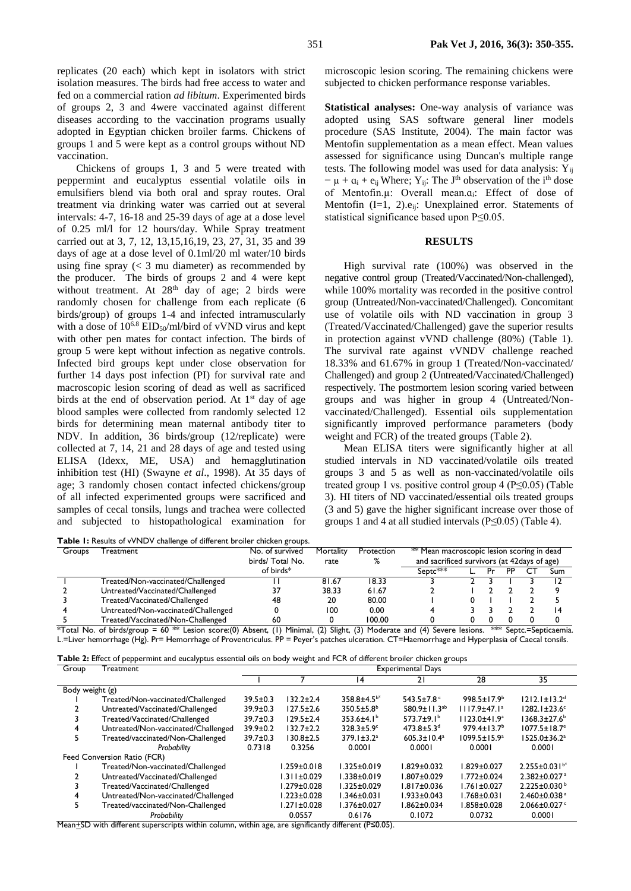replicates (20 each) which kept in isolators with strict isolation measures. The birds had free access to water and fed on a commercial ration *ad libitum*. Experimented birds of groups 2, 3 and 4were vaccinated against different diseases according to the vaccination programs usually adopted in Egyptian chicken broiler farms. Chickens of groups 1 and 5 were kept as a control groups without ND vaccination.

Chickens of groups 1, 3 and 5 were treated with peppermint and eucalyptus essential volatile oils in emulsifiers blend via both oral and spray routes. Oral treatment via drinking water was carried out at several intervals: 4-7, 16-18 and 25-39 days of age at a dose level of 0.25 ml/l for 12 hours/day. While Spray treatment carried out at 3, 7, 12, 13,15,16,19, 23, 27, 31, 35 and 39 days of age at a dose level of 0.1ml/20 ml water/10 birds using fine spray  $\left( \langle 3 \rangle \right)$  mu diameter) as recommended by the producer. The birds of groups 2 and 4 were kept without treatment. At 28<sup>th</sup> day of age; 2 birds were randomly chosen for challenge from each replicate (6 birds/group) of groups 1-4 and infected intramuscularly with a dose of  $10^{6.8}$  EID<sub>50</sub>/ml/bird of vVND virus and kept with other pen mates for contact infection. The birds of group 5 were kept without infection as negative controls. Infected bird groups kept under close observation for further 14 days post infection (PI) for survival rate and macroscopic lesion scoring of dead as well as sacrificed birds at the end of observation period. At  $1<sup>st</sup>$  day of age blood samples were collected from randomly selected 12 birds for determining mean maternal antibody titer to NDV. In addition, 36 birds/group (12/replicate) were collected at 7, 14, 21 and 28 days of age and tested using ELISA (Idexx, ME, USA) and hemagglutination inhibition test (HI) (Swayne *et al*., 1998). At 35 days of age; 3 randomly chosen contact infected chickens/group of all infected experimented groups were sacrificed and samples of cecal tonsils, lungs and trachea were collected and subjected to histopathological examination for

microscopic lesion scoring. The remaining chickens were subjected to chicken performance response variables.

**Statistical analyses:** One-way analysis of variance was adopted using SAS software general liner models procedure (SAS Institute, 2004). The main factor was Mentofin supplementation as a mean effect. Mean values assessed for significance using Duncan's multiple range tests. The following model was used for data analysis:  $Y_{ii}$  $= \mu + \alpha_i + e_{ij}$  Where; Y<sub>ij</sub>: The J<sup>th</sup> observation of the i<sup>th</sup> dose of Mentofin.µ: Overall mean.ɑi: Effect of dose of Mentofin  $(I=1, 2)$ . $e_{ii}$ : Unexplained error. Statements of statistical significance based upon P≤0.05.

### **RESULTS**

High survival rate (100%) was observed in the negative control group (Treated/Vaccinated/Non-challenged), while 100% mortality was recorded in the positive control group (Untreated/Non-vaccinated/Challenged). Concomitant use of volatile oils with ND vaccination in group 3 (Treated/Vaccinated/Challenged) gave the superior results in protection against vVND challenge (80%) (Table 1). The survival rate against vVNDV challenge reached 18.33% and 61.67% in group 1 (Treated/Non-vaccinated/ Challenged) and group 2 (Untreated/Vaccinated/Challenged) respectively. The postmortem lesion scoring varied between groups and was higher in group 4 (Untreated/Nonvaccinated/Challenged). Essential oils supplementation significantly improved performance parameters (body weight and FCR) of the treated groups (Table 2).

Mean ELISA titers were significantly higher at all studied intervals in ND vaccinated/volatile oils treated groups 3 and 5 as well as non-vaccinated/volatile oils treated group 1 vs. positive control group 4 (P≤0.05) (Table 3). HI titers of ND vaccinated/essential oils treated groups (3 and 5) gave the higher significant increase over those of groups 1 and 4 at all studied intervals (P≤0.05) (Table 4).

| Table I: Results of vVNDV challenge of different broiler chicken groups. |                                     |                 |           |            |                                              |  |  |    |  |     |
|--------------------------------------------------------------------------|-------------------------------------|-----------------|-----------|------------|----------------------------------------------|--|--|----|--|-----|
| Groups                                                                   | Treatment                           | No. of survived | Mortality | Protection | ** Mean macroscopic lesion scoring in dead   |  |  |    |  |     |
|                                                                          |                                     | birds/Total No. | rate      | ℅          | and sacrificed survivors (at 42 days of age) |  |  |    |  |     |
|                                                                          |                                     | of birds*       |           |            | $S$ eptc $***$                               |  |  | PP |  | Sum |
|                                                                          | Treated/Non-vaccinated/Challenged   |                 | 81.67     | 18.33      |                                              |  |  |    |  |     |
|                                                                          | Untreated/Vaccinated/Challenged     |                 | 38.33     | 61.67      |                                              |  |  |    |  |     |
|                                                                          | Treated/Vaccinated/Challenged       | 48              | 20        | 80.00      |                                              |  |  |    |  |     |
|                                                                          | Untreated/Non-vaccinated/Challenged |                 | 100       | 0.00       |                                              |  |  |    |  |     |
|                                                                          | Treated/Vaccinated/Non-Challenged   | 60              |           | 100.00     |                                              |  |  |    |  |     |

\*Total No. of birds/group = 60 \*\* Lesion score:(0) Absent, (1) Minimal, (2) Slight, (3) Moderate and (4) Severe lesions. \*\*\* Septc.=Septicaemia. L.=Liver hemorrhage (Hg). Pr= Hemorrhage of Proventriculus. PP = Peyer's patches ulceration. CT=Haemorrhage and Hyperplasia of Caecal tonsils.

| Group           | r - r r -<br>Treatment              | <b>Experimental Days</b> |                 |                              |                              |                                |                                 |
|-----------------|-------------------------------------|--------------------------|-----------------|------------------------------|------------------------------|--------------------------------|---------------------------------|
|                 |                                     |                          |                 | 14                           | 21                           | 28                             | 35                              |
| Body weight (g) |                                     |                          |                 |                              |                              |                                |                                 |
|                 | Treated/Non-vaccinated/Challenged   | $39.5 \pm 0.3$           | $132.2 \pm 2.4$ | $358.8 \pm 4.5^{b*}$         | 543.5±7.8 $C$                | $998.5 \pm 17.9^{\circ}$       | $1212.1 \pm 13.2$ <sup>d</sup>  |
|                 | Untreated/Vaccinated/Challenged     | $39.9 \pm 0.3$           | $127.5 \pm 2.6$ | $350.5 \pm 5.8^{\circ}$      | $580.9 \pm 11.3^{ab}$        | $1117.9 \pm 47.1$ <sup>a</sup> | $1282.1 \pm 23.6$ <sup>c</sup>  |
|                 | Treated/Vaccinated/Challenged       | $39.7 \pm 0.3$           | $129.5 \pm 2.4$ | $353.6 \pm 4.1^b$            | $573.7 \pm 9.1^{\circ}$      | $1123.0 + 41.9a$               | $1368.3 \pm 27.6^b$             |
| 4               | Untreated/Non-vaccinated/Challenged | 39.9±0.2                 | $132.7 \pm 2.2$ | $328.3 \pm 5.9$ <sup>c</sup> | $473.8 \pm 5.3$ <sup>d</sup> | $979.4 \pm 13.7^{\circ}$       | $1077.5 \pm 18.7$ <sup>e</sup>  |
| 5.              | Treated/vaccinated/Non-Challenged   | $39.7 \pm 0.3$           | $130.8 \pm 2.5$ | $379.1 \pm 3.2^a$            | $605.3 \pm 10.4^a$           | $1099.5 \pm 15.9^a$            | $1525.0 \pm 36.2^a$             |
|                 | Probability                         | 0.7318                   | 0.3256          | 0.0001                       | 0.0001                       | 0.0001                         | 0.0001                          |
|                 | Feed Conversion Ratio (FCR)         |                          |                 |                              |                              |                                |                                 |
|                 | Treated/Non-vaccinated/Challenged   |                          | l.259±0.018     | $1.325 \pm 0.019$            | $1.829 \pm 0.032$            | $1.829 \pm 0.027$              | $2.255 \pm 0.031$ <sup>b*</sup> |
|                 | Untreated/Vaccinated/Challenged     |                          | 1.311±0.029     | $1.338 \pm 0.019$            | l.807±0.029                  | $1.772 \pm 0.024$              | $2.382 \pm 0.027$ <sup>a</sup>  |
|                 | Treated/Vaccinated/Challenged       |                          | l.279±0.028     | $1.325 \pm 0.029$            | $1.817 \pm 0.036$            | $1.761 \pm 0.027$              | $2.225 \pm 0.030^{\circ}$       |
|                 | Untreated/Non-vaccinated/Challenged |                          | 1.223±0.028     | $1.346 \pm 0.031$            | 1.933±0.043                  | $1.768 \pm 0.031$              | $2.460 \pm 0.038$ <sup>a</sup>  |
| 5.              | Treated/vaccinated/Non-Challenged   |                          | 1.271±0.028     | $1.376 \pm 0.027$            | $1.862 \pm 0.034$            | I.858±0.028                    | $2.066 \pm 0.027$ <sup>c</sup>  |
|                 | Probability                         |                          | 0.0557          | 0.6176                       | 0.1072                       | 0.0732                         | 0.0001                          |

Mean±SD with different superscripts within column, within age, are significantly different (P≤0.05).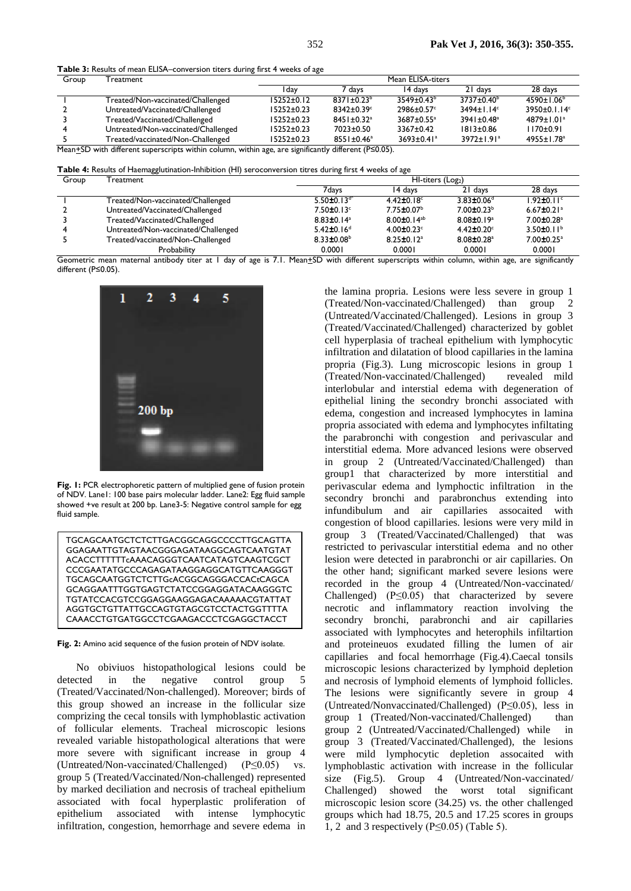**Table 3:** Results of mean ELISA–conversion titers during first 4 weeks of age

| Group                                                                                                     | Treatment                           | Mean ELISA-titers |                              |                              |                              |                              |  |
|-----------------------------------------------------------------------------------------------------------|-------------------------------------|-------------------|------------------------------|------------------------------|------------------------------|------------------------------|--|
|                                                                                                           |                                     | ı dav             | 7 days                       | 14 days                      | 21 days                      | 28 days                      |  |
|                                                                                                           | Treated/Non-vaccinated/Challenged   | $15252 \pm 0.12$  | $8371 \pm 0.23^b$            | $3549 \pm 0.43^b$            | $3737 \pm 0.40^{\circ}$      | $4590 \pm 1.06^{\circ}$      |  |
|                                                                                                           | Untreated/Vaccinated/Challenged     | 15252±0.23        | $8342 \pm 0.39$ <sup>c</sup> | $2986 \pm 0.57$ °            | $3494 \pm 1.14^{\circ}$      | 3950±0.1.14 $\degree$        |  |
|                                                                                                           | Treated/Vaccinated/Challenged       | $15252 \pm 0.23$  | $8451 \pm 0.32$ <sup>a</sup> | $3687 \pm 0.55^{\text{a}}$   | $3941 \pm 0.48$ <sup>a</sup> | $4879 \pm 1.01^a$            |  |
|                                                                                                           | Untreated/Non-vaccinated/Challenged | $15252 \pm 0.23$  | $7023 \pm 0.50$              | $3367 \pm 0.42$              | $1813 \pm 0.86$              | $1170 \pm 0.91$              |  |
|                                                                                                           | Treated/vaccinated/Non-Challenged   | $15252 \pm 0.23$  | $8551 \pm 0.46^a$            | $3693 \pm 0.41$ <sup>a</sup> | $3972 \pm 1.91$ <sup>a</sup> | $4955 \pm 1.78$ <sup>a</sup> |  |
| Mean+SD with different superscripts within column within age are significantly different ( $P\leq 0.05$ ) |                                     |                   |                              |                              |                              |                              |  |

with different superscripts within column, within age, are significantly different ( $P≤0.05$ ).

**Table 4:** Results of Haemagglutination-Inhibition (HI) seroconversion titres during first 4 weeks of age

| Group | Treatment                           |                              | HI-titers (Log2)              |                              |                              |  |  |
|-------|-------------------------------------|------------------------------|-------------------------------|------------------------------|------------------------------|--|--|
|       |                                     | 7davs                        | 14 days                       | 21 days                      | 28 days                      |  |  |
|       | Treated/Non-vaccinated/Challenged   | 5.50 $\pm$ 0.13 $d^*$        | 4.42 $\pm$ 0.18 $\text{c}$    | $3.83 \pm 0.06$ <sup>d</sup> | $1.92 \pm 0.11$ <sup>c</sup> |  |  |
|       | Untreated/Vaccinated/Challenged     | $7.50\pm0.13$ °              | $7.75 \pm 0.07^{\rm b}$       | $7.00 \pm 0.23^b$            | $6.67 \pm 0.21$ <sup>a</sup> |  |  |
|       | Treated/Vaccinated/Challenged       | $8.83 \pm 0.14$ <sup>a</sup> | 8.00 $\pm$ 0.14 <sup>ab</sup> | $8.08 \pm 0.19^a$            | $7.00 \pm 0.28$ <sup>a</sup> |  |  |
|       | Untreated/Non-vaccinated/Challenged | $5.42 \pm 0.16$ <sup>d</sup> | $4.00 \pm 0.23$               | $4.42 \pm 0.20$ <sup>c</sup> | 3.50 $\pm$ 0.11 <sup>b</sup> |  |  |
|       | Treated/vaccinated/Non-Challenged   | $8.33 \pm 0.08^b$            | $8.25 \pm 0.12$ <sup>a</sup>  | $8.08 \pm 0.28$ <sup>a</sup> | $7.00 \pm 0.25$ <sup>a</sup> |  |  |
|       | Probability                         | 0.0001                       | 0.0001                        | 0.0001                       | 0.0001                       |  |  |

Geometric mean maternal antibody titer at 1 day of age is 7.1. Mean+SD with different superscripts within column, within age, are significantly different (P≤0.05).



**Fig. 1:** PCR electrophoretic pattern of multiplied gene of fusion protein of NDV. Lane1: 100 base pairs molecular ladder. Lane2: Egg fluid sample showed +ve result at 200 bp. Lane3-5: Negative control sample for egg fluid sample.

| TGCAGCAATGCTCTCTTGACGGCAGGCCCCTTGCAGTTA        |
|------------------------------------------------|
| GGAGAATTGTAGTAACGGGAGATAAGGCAGTCAATGTAT        |
| ACACCTTTTTTcAAACAGGGTCAATCATAGTCAAGTCGCT       |
| CCCGAATATGCCCAGAGATAAGGAGGCATGTTCAAGGGT        |
| TGCAGCAATGGTCTCTTGcACGGCAGGGACCACtCAGCA        |
| GCAGGAATTTGGTGAGTCTATCCGGAGGATACAAGGGTC        |
| <b>TGTATCCACGTCCGGAGGAAGGAGACAAAAACGTATTAT</b> |
| AGGTGCTGTTATTGCCAGTGTAGCGTCCTACTGGTTTTA        |
| CAAACCTGTGATGGCCTCGAAGACCCTCGAGGCTACCT         |

**Fig. 2:** Amino acid sequence of the fusion protein of NDV isolate.

No obiviuos histopathological lesions could be detected in the negative control group 5 (Treated/Vaccinated/Non-challenged). Moreover; birds of this group showed an increase in the follicular size comprizing the cecal tonsils with lymphoblastic activation of follicular elements. Tracheal microscopic lesions revealed variable histopathological alterations that were more severe with significant increase in group 4 (Untreated/Non-vaccinated/Challenged) (P≤0.05) vs. group 5 (Treated/Vaccinated/Non-challenged) represented by marked deciliation and necrosis of tracheal epithelium associated with focal hyperplastic proliferation of epithelium associated with intense lymphocytic infiltration, congestion, hemorrhage and severe edema in

the lamina propria. Lesions were less severe in group 1 (Treated/Non-vaccinated/Challenged) than group 2 (Untreated/Vaccinated/Challenged). Lesions in group 3 (Treated/Vaccinated/Challenged) characterized by goblet cell hyperplasia of tracheal epithelium with lymphocytic infiltration and dilatation of blood capillaries in the lamina propria (Fig.3). Lung microscopic lesions in group 1 (Treated/Non-vaccinated/Challenged) revealed mild interlobular and interstial edema with degeneration of epithelial lining the secondry bronchi associated with edema, congestion and increased lymphocytes in lamina propria associated with edema and lymphocytes infiltating the parabronchi with congestion and perivascular and interstitial edema. More advanced lesions were observed in group 2 (Untreated/Vaccinated/Challenged) than group1 that characterized by more interstitial and perivascular edema and lymphoctic infiltration in the secondry bronchi and parabronchus extending into infundibulum and air capillaries assocaited with congestion of blood capillaries. lesions were very mild in group 3 (Treated/Vaccinated/Challenged) that was restricted to perivascular interstitial edema and no other lesion were detected in parabronchi or air capillaries. On the other hand; significant marked severe lesions were recorded in the group 4 (Untreated/Non-vaccinated/ Challenged) (P≤0.05) that characterized by severe necrotic and inflammatory reaction involving the secondry bronchi, parabronchi and air capillaries associated with lymphocytes and heterophils infiltartion and proteineuos exudated filling the lumen of air capillaries and focal hemorrhage (Fig.4).Caecal tonsils microscopic lesions characterized by lymphoid depletion and necrosis of lymphoid elements of lymphoid follicles. The lesions were significantly severe in group 4 (Untreated/Nonvaccinated/Challenged) (P≤0.05), less in group 1 (Treated/Non-vaccinated/Challenged) than group 2 (Untreated/Vaccinated/Challenged) while in group 3 (Treated/Vaccinated/Challenged), the lesions were mild lymphocytic depletion assocaited with lymphoblastic activation with increase in the follicular size (Fig.5). Group 4 (Untreated/Non-vaccinated/ Challenged) showed the worst total significant microscopic lesion score (34.25) vs. the other challenged groups which had 18.75, 20.5 and 17.25 scores in groups 1, 2 and 3 respectively (P≤0.05) (Table 5).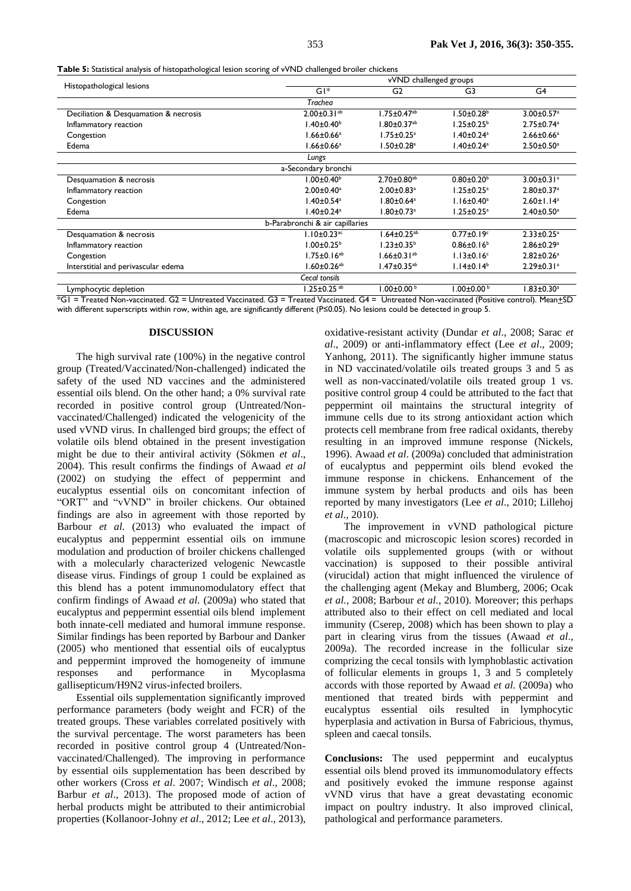**Table 5:** Statistical analysis of histopathological lesion scoring of vVND challenged broiler chickens

|                                       |                                 | vVND challenged groups        |                              |                              |  |  |  |
|---------------------------------------|---------------------------------|-------------------------------|------------------------------|------------------------------|--|--|--|
| Histopathological lesions             | $GI*$                           | G <sub>2</sub>                |                              | G4                           |  |  |  |
|                                       | Trachea                         |                               |                              |                              |  |  |  |
| Deciliation & Desquamation & necrosis | $2.00 \pm 0.31$ <sup>ab</sup>   | $1.75 \pm 0.47$ <sup>ab</sup> | $1.50 \pm 0.28^{\circ}$      | $3.00 \pm 0.57$ <sup>a</sup> |  |  |  |
| Inflammatory reaction                 | $1.40 \pm 0.40^b$               | $1.80 \pm 0.37 ^{\text{ab}}$  | $1.25 \pm 0.25^{\mathrm{b}}$ | $2.75 \pm 0.74$ <sup>a</sup> |  |  |  |
| Congestion                            | $1.66 \pm 0.66^a$               | $1.75 \pm 0.25$ <sup>a</sup>  | $1.40 \pm 0.24$ <sup>a</sup> | $2.66 \pm 0.66^a$            |  |  |  |
| Edema                                 | $1.66 \pm 0.66^a$               | $1.50 \pm 0.28$ <sup>a</sup>  | $1.40 \pm 0.24$ <sup>a</sup> | $2.50 \pm 0.50^a$            |  |  |  |
|                                       | Lungs                           |                               |                              |                              |  |  |  |
|                                       | a-Secondary bronchi             |                               |                              |                              |  |  |  |
| Desquamation & necrosis               | $1.00 \pm 0.40^b$               | $2.70 \pm 0.80^{ab}$          | $0.80 \pm 0.20^{\circ}$      | $3.00 \pm 0.31$ <sup>a</sup> |  |  |  |
| Inflammatory reaction                 | $2.00 \pm 0.40^a$               | $2.00 \pm 0.83$ <sup>a</sup>  | $1.25 \pm 0.25$ <sup>a</sup> | $2.80 \pm 0.37$ <sup>a</sup> |  |  |  |
| Congestion                            | $1.40 \pm 0.54$ <sup>a</sup>    | $1.80 \pm 0.64^a$             | $1.16 \pm 0.40^a$            | $2.60 \pm 1.14^a$            |  |  |  |
| Edema                                 | $1.40 \pm 0.24$ <sup>a</sup>    | $1.80 \pm 0.73$ <sup>a</sup>  | $1.25 \pm 0.25$ <sup>a</sup> | $2.40 \pm 0.50$ <sup>a</sup> |  |  |  |
|                                       | b-Parabronchi & air capillaries |                               |                              |                              |  |  |  |
| Desquamation & necrosis               | $1.10 \pm 0.23$ <sup>ac</sup>   | $1.64 \pm 0.25$ <sup>ab</sup> | $0.77 \pm 0.19$ <sup>c</sup> | $2.33 \pm 0.25$ <sup>a</sup> |  |  |  |
| Inflammatory reaction                 | $1.00 \pm 0.25^{\circ}$         | $1.23 \pm 0.35^{\mathrm{b}}$  | $0.86 \pm 0.16^b$            | $2.86 \pm 0.29$ <sup>a</sup> |  |  |  |
| Congestion                            | $1.75 \pm 0.16^{ab}$            | $1.66 \pm 0.31^{ab}$          | $1.13 \pm 0.16$ <sup>c</sup> | $2.82 \pm 0.26$ <sup>a</sup> |  |  |  |
| Interstitial and perivascular edema   | $1.60 \pm 0.26$ <sup>ab</sup>   | $1.47 \pm 0.35$ <sup>ab</sup> | $1.14 \pm 0.14^b$            | $2.29 \pm 0.31$ <sup>a</sup> |  |  |  |
|                                       | Cecal tonsils                   |                               |                              |                              |  |  |  |
| Lymphocytic depletion                 | $1.25 \pm 0.25$ ab              | $1.00\pm0.00$ b               | $1.00 \pm 0.00^{\mathrm{b}}$ | $1.83 \pm 0.30^a$            |  |  |  |

\*G1 = Treated Non-vaccinated. G2 = Untreated Vaccinated. G3 = Treated Vaccinated. G4 = Untreated Non-vaccinated (Positive control). Mean+SD with different superscripts within row, within age, are significantly different (P≤0.05). No lesions could be detected in group 5.

#### **DISCUSSION**

The high survival rate (100%) in the negative control group (Treated/Vaccinated/Non-challenged) indicated the safety of the used ND vaccines and the administered essential oils blend. On the other hand; a 0% survival rate recorded in positive control group (Untreated/Nonvaccinated/Challenged) indicated the velogenicity of the used vVND virus. In challenged bird groups; the effect of volatile oils blend obtained in the present investigation might be due to their antiviral activity (Sökmen *et al*., 2004). This result confirms the findings of Awaad *et al* (2002) on studying the effect of peppermint and eucalyptus essential oils on concomitant infection of "ORT" and "vVND" in broiler chickens. Our obtained findings are also in agreement with those reported by Barbour *et al.* (2013) who evaluated the impact of eucalyptus and peppermint essential oils on immune modulation and production of broiler chickens challenged with a molecularly characterized velogenic Newcastle disease virus. Findings of group 1 could be explained as this blend has a potent immunomodulatory effect that confirm findings of Awaad *et al.* (2009a) who stated that eucalyptus and peppermint essential oils blend implement both innate-cell mediated and humoral immune response. Similar findings has been reported by Barbour and Danker (2005) who mentioned that essential oils of eucalyptus and peppermint improved the homogeneity of immune responses and performance in Mycoplasma gallisepticum/H9N2 virus-infected broilers.

Essential oils supplementation significantly improved performance parameters (body weight and FCR) of the treated groups. These variables correlated positively with the survival percentage. The worst parameters has been recorded in positive control group 4 (Untreated/Nonvaccinated/Challenged). The improving in performance by essential oils supplementation has been described by other workers (Cross *et al*. 2007; Windisch *et al*., 2008; Barbur *et al*., 2013). The proposed mode of action of herbal products might be attributed to their antimicrobial properties (Kollanoor-Johny *et al*., 2012; Lee *et al*., 2013), oxidative-resistant activity (Dundar *et al*., 2008; Sarac *et al*., 2009) or anti-inflammatory effect (Lee *et al*., 2009; Yanhong, 2011). The significantly higher immune status in ND vaccinated/volatile oils treated groups 3 and 5 as well as non-vaccinated/volatile oils treated group 1 vs. positive control group 4 could be attributed to the fact that peppermint oil maintains the structural integrity of immune cells due to its strong antioxidant action which protects cell membrane from free radical oxidants, thereby resulting in an improved immune response (Nickels, 1996). Awaad *et al*. (2009a) concluded that administration of eucalyptus and peppermint oils blend evoked the immune response in chickens. Enhancement of the immune system by herbal products and oils has been reported by many investigators (Lee *et al*., 2010; Lillehoj *et al*., 2010).

The improvement in vVND pathological picture (macroscopic and microscopic lesion scores) recorded in volatile oils supplemented groups (with or without vaccination) is supposed to their possible antiviral (virucidal) action that might influenced the virulence of the challenging agent (Mekay and Blumberg, 2006; Ocak *et al.,* 2008; Barbour *et al.,* 2010). Moreover; this perhaps attributed also to their effect on cell mediated and local immunity (Cserep, 2008) which has been shown to play a part in clearing virus from the tissues (Awaad *et al*., 2009a). The recorded increase in the follicular size comprizing the cecal tonsils with lymphoblastic activation of follicular elements in groups 1, 3 and 5 completely accords with those reported by Awaad *et al.* (2009a) who mentioned that treated birds with peppermint and eucalyptus essential oils resulted in lymphocytic hyperplasia and activation in Bursa of Fabricious, thymus, spleen and caecal tonsils.

**Conclusions:** The used peppermint and eucalyptus essential oils blend proved its immunomodulatory effects and positively evoked the immune response against vVND virus that have a great devastating economic impact on poultry industry. It also improved clinical, pathological and performance parameters.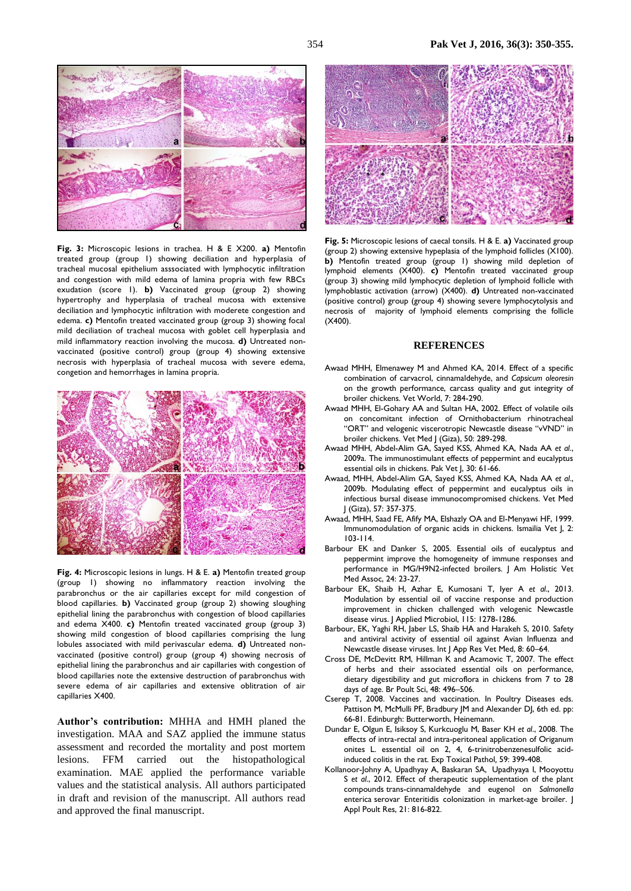

**Fig. 3:** Microscopic lesions in trachea. H & E X200. **a)** Mentofin treated group (group 1) showing deciliation and hyperplasia of tracheal mucosal epithelium asssociated with lymphocytic infiltration and congestion with mild edema of lamina propria with few RBCs exudation (score 1). **b)** Vaccinated group (group 2) showing hypertrophy and hyperplasia of tracheal mucosa with extensive deciliation and lymphocytic infiltration with moderete congestion and edema. **c)** Mentofin treated vaccinated group (group 3) showing focal mild deciliation of tracheal mucosa with goblet cell hyperplasia and mild inflammatory reaction involving the mucosa. **d)** Untreated nonvaccinated (positive control) group (group 4) showing extensive necrosis with hyperplasia of tracheal mucosa with severe edema, congetion and hemorrhages in lamina propria.



**Fig. 4:** Microscopic lesions in lungs. H & E. **a)** Mentofin treated group (group 1) showing no inflammatory reaction involving the parabronchus or the air capillaries except for mild congestion of blood capillaries. **b)** Vaccinated group (group 2) showing sloughing epithelial lining the parabronchus with congestion of blood capillaries and edema X400. **c)** Mentofin treated vaccinated group (group 3) showing mild congestion of blood capillaries comprising the lung lobules associated with mild perivascular edema. **d)** Untreated nonvaccinated (positive control) group (group 4) showing necrosis of epithelial lining the parabronchus and air capillaries with congestion of blood capillaries note the extensive destruction of parabronchus with severe edema of air capillaries and extensive oblitration of air capillaries X400.

**Author's contribution:** MHHA and HMH planed the investigation. MAA and SAZ applied the immune status assessment and recorded the mortality and post mortem lesions. FFM carried out the histopathological examination. MAE applied the performance variable values and the statistical analysis. All authors participated in draft and revision of the manuscript. All authors read and approved the final manuscript.



**Fig. 5:** Microscopic lesions of caecal tonsils. H & E. **a)** Vaccinated group (group 2) showing extensive hypeplasia of the lymphoid follicles (X100). **b)** Mentofin treated group (group 1) showing mild depletion of lymphoid elements (X400). **c)** Mentofin treated vaccinated group (group 3) showing mild lymphocytic depletion of lymphoid follicle with lymphoblastic activation (arrow) (X400). **d)** Untreated non-vaccinated (positive control) group (group 4) showing severe lymphocytolysis and necrosis of majority of lymphoid elements comprising the follicle (X400).

### **REFERENCES**

- Awaad MHH, Elmenawey M and Ahmed KA, 2014. Effect of a specific combination of carvacrol, cinnamaldehyde, and *Capsicum oleoresin*  on the growth performance, carcass quality and gut integrity of broiler chickens. Vet World, 7: 284-290.
- Awaad MHH, El-Gohary AA and Sultan HA, 2002. Effect of volatile oils on concomitant infection of Ornithobacterium rhinotracheal "ORT" and velogenic viscerotropic Newcastle disease "vVND" in broiler chickens. Vet Med J (Giza), 50: 289-298.
- Awaad MHH, Abdel-Alim GA, Sayed KSS, Ahmed KA, Nada AA *et al*., 2009a. The immunostimulant effects of peppermint and eucalyptus essential oils in chickens. Pak Vet J, 30: 61-66.
- Awaad, MHH, Abdel-Alim GA, Sayed KSS, Ahmed KA, Nada AA *et al*., 2009b. Modulating effect of peppermint and eucalyptus oils in infectious bursal disease immunocompromised chickens. Vet Med J (Giza), 57: 357-375.
- Awaad, MHH, Saad FE, Afify MA, Elshazly OA and El-Menyawi HF, 1999. Immunomodulation of organic acids in chickens. Ismailia Vet J, 2: 103-114.
- Barbour EK and Danker S, 2005. Essential oils of eucalyptus and peppermint improve the homogeneity of immune responses and performance in MG/H9N2-infected broilers. J Am Holistic Vet Med Assoc, 24: 23-27.
- Barbour EK, Shaib H, Azhar E, Kumosani T, Iyer A *et al*., 2013. Modulation by essential oil of vaccine response and production improvement in chicken challenged with velogenic Newcastle disease virus. J Applied Microbiol, 115: 1278-1286.
- Barbour, EK, Yaghi RH, Jaber LS, Shaib HA and Harakeh S, 2010. Safety and antiviral activity of essential oil against Avian Influenza and Newcastle disease viruses. Int J App Res Vet Med, 8: 60–64.
- Cross DE, McDevitt RM, Hillman K and Acamovic T, 2007. The effect of herbs and their associated essential oils on performance, dietary digestibility and gut microflora in chickens from 7 to 28 days of age. Br Poult Sci, 48: 496–506.
- Cserep T, 2008. Vaccines and vaccination. In Poultry Diseases eds. Pattison M, McMulli PF, Bradbury JM and Alexander DJ, 6th ed. pp: 66-81. Edinburgh: Butterworth, Heinemann.
- Dundar E, Olgun E, Isiksoy S, Kurkcuoglu M, Baser KH *et al*., 2008. The effects of intra-rectal and intra-peritoneal application of Origanum onites L. essential oil on 2, 4, 6-trinitrobenzenesulfolic acidinduced colitis in the rat. Exp Toxical Pathol*,* 59: 399-408.
- [Kollanoor-Johny](http://japr.fass.org/search?author1=A.+Kollanoor-Johny&sortspec=date&submit=Submit) A, [Upadhyay](http://japr.fass.org/search?author1=A.+Upadhyay&sortspec=date&submit=Submit) A, [Baskaran](http://japr.fass.org/search?author1=S.+A.+Baskaran&sortspec=date&submit=Submit) SA, [Upadhyaya](http://japr.fass.org/search?author1=I.+Upadhyaya&sortspec=date&submit=Submit) I, [Mooyottu](http://japr.fass.org/search?author1=S.+Mooyottu&sortspec=date&submit=Submit) S *et al*., 2012. Effect of therapeutic supplementation of the plant compounds trans-cinnamaldehyde and eugenol on *Salmonella*  enterica serovar Enteritidis colonization in market-age broiler. J Appl Poult Res, 21: 816-822.